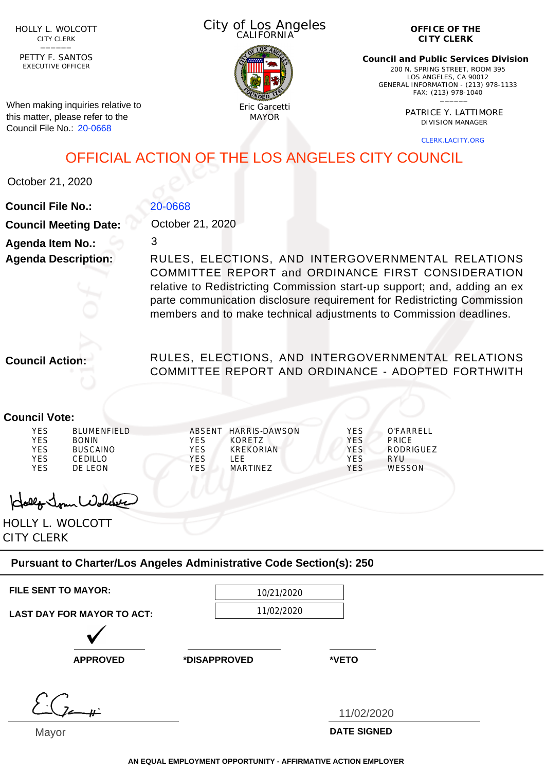HOLLY L. WOLCOTT CITY CLERK<br>—————

EXECUTIVE OFFICER PETTY F. SANTOS

When making inquiries relative to this matter, please refer to the Council File No.: 20-0668

| City of Los Angeles<br>CALIFORNIA |  |
|-----------------------------------|--|
|                                   |  |



**OFFICE OF THE CITY CLERK**

**Council and Public Services Division** 200 N. SPRING STREET, ROOM 395 LOS ANGELES, CA 90012 GENERAL INFORMATION - (213) 978-1133 FAX: (213) 978-1040 \_\_\_\_\_\_

> PATRICE Y. LATTIMORE DIVISION MANAGER

> > CLERK.LACITY.ORG

OFFICIAL ACTION OF THE LOS ANGELES CITY COUNCIL

October 21, 2020

### **Council File No.: Council Meeting Date: Agenda Item No.: Agenda Description:** 20-0668 October 21, 2020 3 RULES, ELECTIONS, AND INTERGOVERNMENTAL RELATIONS

COMMITTEE REPORT and ORDINANCE FIRST CONSIDERATION relative to Redistricting Commission start-up support; and, adding an ex parte communication disclosure requirement for Redistricting Commission members and to make technical adjustments to Commission deadlines.

**Council Action:**

### RULES, ELECTIONS, AND INTERGOVERNMENTAL RELATIONS COMMITTEE REPORT AND ORDINANCE - ADOPTED FORTHWITH

#### **Council Vote:** YES BLUMENFIELD YES BONIN YES BUSCAINO<br>YES CEDILLO CEDILLO YES DE LEON ABSENT HARRIS-DAWSON YES KORETZ YES KREKORIAN<br>YES LEE YES YES MARTINEZ YES O'FARRELL YES PRICE YES RODRIGUEZ<br>YES RYU RYU YES WESSON

John Wolcas

HOLLY L. WOLCOTT CITY CLERK

## **Pursuant to Charter/Los Angeles Administrative Code Section(s): 250**

| <b>FILE SENT TO MAYOR:</b> |
|----------------------------|
|                            |

**FILE SENT TO MAYOR:** 10/21/2020 11/02/2020

**LAST DAY FOR MAYOR TO ACT:**

**APPROVED \*DISAPPROVED \*VETO**

Mayor

11/02/2020

**DATE SIGNED**

**AN EQUAL EMPLOYMENT OPPORTUNITY - AFFIRMATIVE ACTION EMPLOYER**